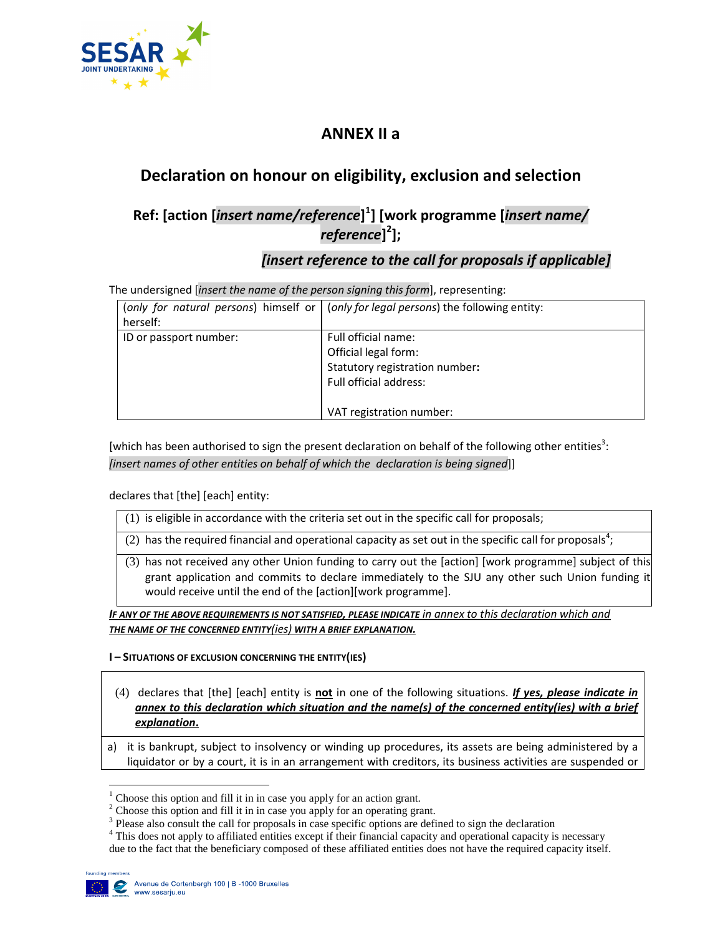

# **ANNEX II a**

# **Declaration on honour on eligibility, exclusion and selection**

# **Ref: [action [***insert name/reference***] 1 ] [work programme [***insert name/ reference***] 2 ];**

### *[insert reference to the call for proposals if applicable]*

The undersigned [*insert the name of the person signing this form*], representing:

| herself:               | (only for natural persons) himself or (only for legal persons) the following entity:                                                |
|------------------------|-------------------------------------------------------------------------------------------------------------------------------------|
| ID or passport number: | Full official name:<br>Official legal form:<br>Statutory registration number:<br>Full official address:<br>VAT registration number: |

[which has been authorised to sign the present declaration on behalf of the following other entities<sup>3</sup>: *[insert names of other entities on behalf of which the declaration is being signed*]]

declares that [the] [each] entity:

- (1) is eligible in accordance with the criteria set out in the specific call for proposals;
- (2) has the required financial and operational capacity as set out in the specific call for proposals<sup>4</sup>;
- (3) has not received any other Union funding to carry out the [action] [work programme] subject of this grant application and commits to declare immediately to the SJU any other such Union funding it would receive until the end of the [action][work programme].

*IF ANY OF THE ABOVE REQUIREMENTS IS NOT SATISFIED, PLEASE INDICATE in annex to this declaration which and THE NAME OF THE CONCERNED ENTITY(ies) WITH A BRIEF EXPLANATION.*

### **I – SITUATIONS OF EXCLUSION CONCERNING THE ENTITY(IES)**

- (4) declares that [the] [each] entity is **not** in one of the following situations. *If yes, please indicate in annex to this declaration which situation and the name(s) of the concerned entity(ies) with a brief explanation***.**
- a) it is bankrupt, subject to insolvency or winding up procedures, its assets are being administered by a liquidator or by a court, it is in an arrangement with creditors, its business activities are suspended or

<sup>4</sup> This does not apply to affiliated entities except if their financial capacity and operational capacity is necessary due to the fact that the beneficiary composed of these affiliated entities does not have the required capacity itself.



-

 $<sup>1</sup>$  Choose this option and fill it in in case you apply for an action grant.</sup>

 $2^2$  Choose this option and fill it in in case you apply for an operating grant.

<sup>&</sup>lt;sup>3</sup> Please also consult the call for proposals in case specific options are defined to sign the declaration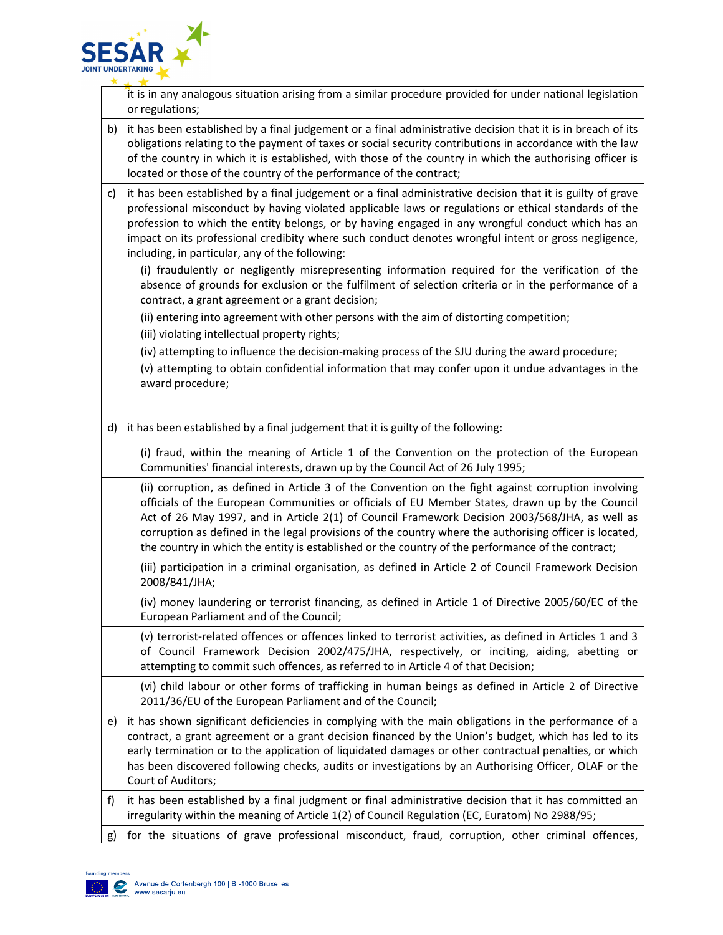

it is in any analogous situation arising from a similar procedure provided for under national legislation or regulations;

- b) it has been established by a final judgement or a final administrative decision that it is in breach of its obligations relating to the payment of taxes or social security contributions in accordance with the law of the country in which it is established, with those of the country in which the authorising officer is located or those of the country of the performance of the contract;
- c) it has been established by a final judgement or a final administrative decision that it is guilty of grave professional misconduct by having violated applicable laws or regulations or ethical standards of the profession to which the entity belongs, or by having engaged in any wrongful conduct which has an impact on its professional credibity where such conduct denotes wrongful intent or gross negligence, including, in particular, any of the following:

(i) fraudulently or negligently misrepresenting information required for the verification of the absence of grounds for exclusion or the fulfilment of selection criteria or in the performance of a contract, a grant agreement or a grant decision;

(ii) entering into agreement with other persons with the aim of distorting competition;

(iii) violating intellectual property rights;

(iv) attempting to influence the decision-making process of the SJU during the award procedure;

(v) attempting to obtain confidential information that may confer upon it undue advantages in the award procedure;

d) it has been established by a final judgement that it is guilty of the following:

(i) fraud, within the meaning of Article 1 of the Convention on the protection of the European Communities' financial interests, drawn up by the Council Act of 26 July 1995;

(ii) corruption, as defined in Article 3 of the Convention on the fight against corruption involving officials of the European Communities or officials of EU Member States, drawn up by the Council Act of 26 May 1997, and in Article 2(1) of Council Framework Decision 2003/568/JHA, as well as corruption as defined in the legal provisions of the country where the authorising officer is located, the country in which the entity is established or the country of the performance of the contract;

(iii) participation in a criminal organisation, as defined in Article 2 of Council Framework Decision 2008/841/JHA;

(iv) money laundering or terrorist financing, as defined in Article 1 of Directive 2005/60/EC of the European Parliament and of the Council;

(v) terrorist-related offences or offences linked to terrorist activities, as defined in Articles 1 and 3 of Council Framework Decision 2002/475/JHA, respectively, or inciting, aiding, abetting or attempting to commit such offences, as referred to in Article 4 of that Decision;

(vi) child labour or other forms of trafficking in human beings as defined in Article 2 of Directive 2011/36/EU of the European Parliament and of the Council;

- e) it has shown significant deficiencies in complying with the main obligations in the performance of a contract, a grant agreement or a grant decision financed by the Union's budget, which has led to its early termination or to the application of liquidated damages or other contractual penalties, or which has been discovered following checks, audits or investigations by an Authorising Officer, OLAF or the Court of Auditors;
- f) it has been established by a final judgment or final administrative decision that it has committed an irregularity within the meaning of Article 1(2) of Council Regulation (EC, Euratom) No 2988/95;
- g) for the situations of grave professional misconduct, fraud, corruption, other criminal offences,

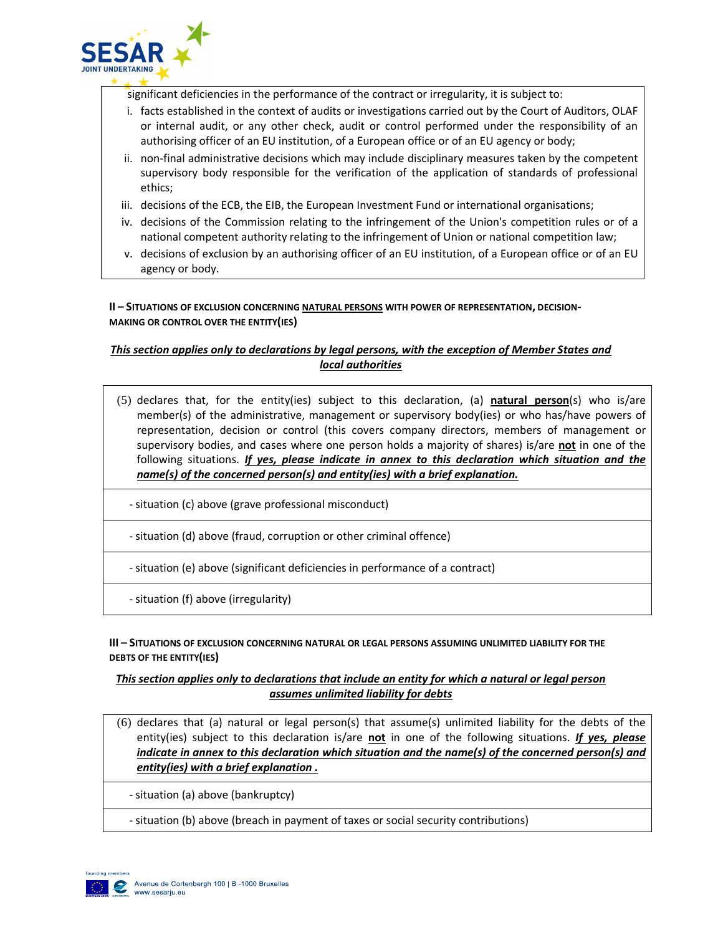

significant deficiencies in the performance of the contract or irregularity, it is subject to:

- i. facts established in the context of audits or investigations carried out by the Court of Auditors, OLAF or internal audit, or any other check, audit or control performed under the responsibility of an authorising officer of an EU institution, of a European office or of an EU agency or body;
- ii. non-final administrative decisions which may include disciplinary measures taken by the competent supervisory body responsible for the verification of the application of standards of professional ethics;
- iii. decisions of the ECB, the EIB, the European Investment Fund or international organisations;
- iv. decisions of the Commission relating to the infringement of the Union's competition rules or of a national competent authority relating to the infringement of Union or national competition law;
- v. decisions of exclusion by an authorising officer of an EU institution, of a European office or of an EU agency or body.

**II – SITUATIONS OF EXCLUSION CONCERNING NATURAL PERSONS WITH POWER OF REPRESENTATION, DECISION-MAKING OR CONTROL OVER THE ENTITY(IES)** 

### *This section applies only to declarations by legal persons, with the exception of Member States and local authorities*

- (5) declares that, for the entity(ies) subject to this declaration, (a) **natural person**(s) who is/are member(s) of the administrative, management or supervisory body(ies) or who has/have powers of representation, decision or control (this covers company directors, members of management or supervisory bodies, and cases where one person holds a majority of shares) is/are **not** in one of the following situations. *If yes, please indicate in annex to this declaration which situation and the name(s) of the concerned person(s) and entity(ies) with a brief explanation.*
	- situation (c) above (grave professional misconduct)
	- situation (d) above (fraud, corruption or other criminal offence)
	- situation (e) above (significant deficiencies in performance of a contract)
	- situation (f) above (irregularity)

#### **III – SITUATIONS OF EXCLUSION CONCERNING NATURAL OR LEGAL PERSONS ASSUMING UNLIMITED LIABILITY FOR THE DEBTS OF THE ENTITY(IES)**

### *This section applies only to declarations that include an entity for which a natural or legal person assumes unlimited liability for debts*

- (6) declares that (a) natural or legal person(s) that assume(s) unlimited liability for the debts of the entity(ies) subject to this declaration is/are **not** in one of the following situations. *If yes, please indicate in annex to this declaration which situation and the name(s) of the concerned person(s) and entity(ies) with a brief explanation .*
	- situation (a) above (bankruptcy)
	- situation (b) above (breach in payment of taxes or social security contributions)